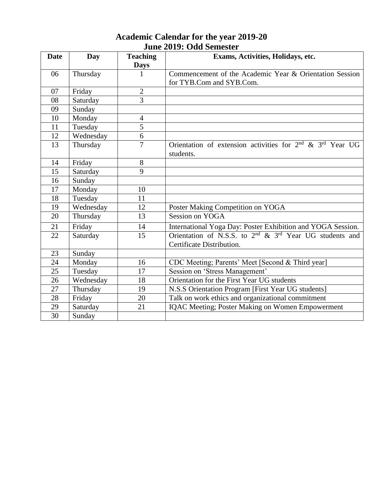| <b>Academic Calendar for the year 2019-20</b> |  |
|-----------------------------------------------|--|
| June 2019: Odd Semester                       |  |

| <b>Date</b> | Day       | <b>Teaching</b> | Exams, Activities, Holidays, etc.                                 |
|-------------|-----------|-----------------|-------------------------------------------------------------------|
|             |           | <b>Days</b>     |                                                                   |
| 06          | Thursday  |                 | Commencement of the Academic Year & Orientation Session           |
|             |           |                 | for TYB.Com and SYB.Com.                                          |
| 07          | Friday    | $\overline{2}$  |                                                                   |
| 08          | Saturday  | $\overline{3}$  |                                                                   |
| 09          | Sunday    |                 |                                                                   |
| 10          | Monday    | $\overline{4}$  |                                                                   |
| 11          | Tuesday   | $\overline{5}$  |                                                                   |
| 12          | Wednesday | 6               |                                                                   |
| 13          | Thursday  | 7               | Orientation of extension activities for $2nd$ & $3rd$ Year UG     |
|             |           |                 | students.                                                         |
| 14          | Friday    | 8               |                                                                   |
| 15          | Saturday  | 9               |                                                                   |
| 16          | Sunday    |                 |                                                                   |
| 17          | Monday    | 10              |                                                                   |
| 18          | Tuesday   | 11              |                                                                   |
| 19          | Wednesday | 12              | Poster Making Competition on YOGA                                 |
| 20          | Thursday  | 13              | Session on YOGA                                                   |
| 21          | Friday    | 14              | International Yoga Day: Poster Exhibition and YOGA Session.       |
| 22          | Saturday  | 15              | Orientation of N.S.S. to $2^{nd}$ & $3^{rd}$ Year UG students and |
|             |           |                 | Certificate Distribution.                                         |
| 23          | Sunday    |                 |                                                                   |
| 24          | Monday    | 16              | CDC Meeting; Parents' Meet [Second & Third year]                  |
| 25          | Tuesday   | 17              | Session on 'Stress Management'                                    |
| 26          | Wednesday | 18              | Orientation for the First Year UG students                        |
| 27          | Thursday  | 19              | N.S.S Orientation Program [First Year UG students]                |
| 28          | Friday    | 20              | Talk on work ethics and organizational commitment                 |
| 29          | Saturday  | 21              | IQAC Meeting; Poster Making on Women Empowerment                  |
| 30          | Sunday    |                 |                                                                   |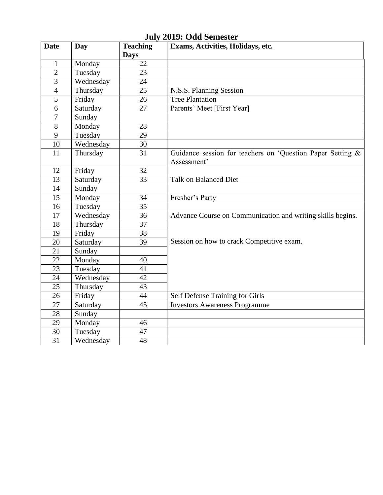| <b>Date</b>     | Day       | <b>Teaching</b>   | Exams, Activities, Holidays, etc.                                         |
|-----------------|-----------|-------------------|---------------------------------------------------------------------------|
| $\mathbf 1$     | Monday    | <b>Days</b><br>22 |                                                                           |
| $\overline{2}$  | Tuesday   | $\overline{23}$   |                                                                           |
| $\overline{3}$  |           | 24                |                                                                           |
| $\overline{4}$  | Wednesday | $\overline{25}$   |                                                                           |
|                 | Thursday  |                   | N.S.S. Planning Session                                                   |
| 5               | Friday    | 26                | <b>Tree Plantation</b>                                                    |
| 6               | Saturday  | 27                | Parents' Meet [First Year]                                                |
| $\overline{7}$  | Sunday    |                   |                                                                           |
| 8               | Monday    | 28                |                                                                           |
| 9               | Tuesday   | 29                |                                                                           |
| 10              | Wednesday | 30                |                                                                           |
| 11              | Thursday  | 31                | Guidance session for teachers on 'Question Paper Setting &<br>Assessment' |
| 12              | Friday    | 32                |                                                                           |
| 13              | Saturday  | 33                | <b>Talk on Balanced Diet</b>                                              |
| 14              | Sunday    |                   |                                                                           |
| 15              | Monday    | 34                | Fresher's Party                                                           |
| $\overline{16}$ | Tuesday   | $\overline{35}$   |                                                                           |
| 17              | Wednesday | $\overline{36}$   | Advance Course on Communication and writing skills begins.                |
| 18              | Thursday  | $\overline{37}$   |                                                                           |
| 19              | Friday    | $\overline{38}$   |                                                                           |
| 20              | Saturday  | 39                | Session on how to crack Competitive exam.                                 |
| 21              | Sunday    |                   |                                                                           |
| 22              | Monday    | 40                |                                                                           |
| 23              | Tuesday   | 41                |                                                                           |
| 24              | Wednesday | 42                |                                                                           |
| 25              | Thursday  | 43                |                                                                           |
| 26              | Friday    | 44                | Self Defense Training for Girls                                           |
| 27              | Saturday  | 45                | <b>Investors Awareness Programme</b>                                      |
| 28              | Sunday    |                   |                                                                           |
| 29              | Monday    | 46                |                                                                           |
| 30              | Tuesday   | 47                |                                                                           |
| $\overline{31}$ | Wednesday | 48                |                                                                           |

**July 2019: Odd Semester**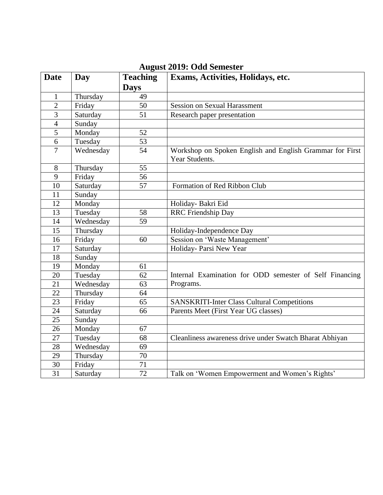| <b>Date</b>     | Day       | <b>Teaching</b> | Exams, Activities, Holidays, etc.                                          |
|-----------------|-----------|-----------------|----------------------------------------------------------------------------|
|                 |           | <b>Days</b>     |                                                                            |
| 1               | Thursday  | 49              |                                                                            |
| $\overline{2}$  | Friday    | 50              | <b>Session on Sexual Harassment</b>                                        |
| 3               | Saturday  | 51              | Research paper presentation                                                |
| $\overline{4}$  | Sunday    |                 |                                                                            |
| $\overline{5}$  | Monday    | 52              |                                                                            |
| 6               | Tuesday   | 53              |                                                                            |
| $\overline{7}$  | Wednesday | 54              | Workshop on Spoken English and English Grammar for First<br>Year Students. |
| 8               | Thursday  | 55              |                                                                            |
| 9               | Friday    | 56              |                                                                            |
| 10              | Saturday  | 57              | Formation of Red Ribbon Club                                               |
| 11              | Sunday    |                 |                                                                            |
| 12              | Monday    |                 | Holiday- Bakri Eid                                                         |
| 13              | Tuesday   | 58              | <b>RRC</b> Friendship Day                                                  |
| 14              | Wednesday | 59              |                                                                            |
| 15              | Thursday  |                 | Holiday-Independence Day                                                   |
| 16              | Friday    | 60              | Session on 'Waste Management'                                              |
| 17              | Saturday  |                 | Holiday- Parsi New Year                                                    |
| 18              | Sunday    |                 |                                                                            |
| 19              | Monday    | 61              |                                                                            |
| 20              | Tuesday   | 62              | Internal Examination for ODD semester of Self Financing                    |
| $\overline{21}$ | Wednesday | 63              | Programs.                                                                  |
| 22              | Thursday  | 64              |                                                                            |
| 23              | Friday    | 65              | <b>SANSKRITI-Inter Class Cultural Competitions</b>                         |
| 24              | Saturday  | 66              | Parents Meet (First Year UG classes)                                       |
| 25              | Sunday    |                 |                                                                            |
| 26              | Monday    | 67              |                                                                            |
| 27              | Tuesday   | 68              | Cleanliness awareness drive under Swatch Bharat Abhiyan                    |
| 28              | Wednesday | 69              |                                                                            |
| $\overline{29}$ | Thursday  | $\overline{70}$ |                                                                            |
| $\overline{30}$ | Friday    | 71              |                                                                            |
| $\overline{31}$ | Saturday  | $\overline{72}$ | Talk on 'Women Empowerment and Women's Rights'                             |

# **August 2019: Odd Semester**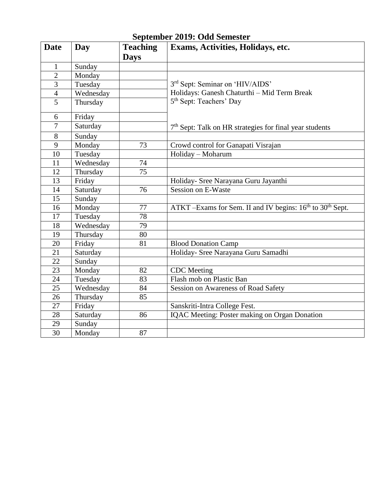|  |  | September 2019: Odd Semester |  |
|--|--|------------------------------|--|
|--|--|------------------------------|--|

| Date           | Day       | <b>Teaching</b> | Exams, Activities, Holidays, etc.                                                 |
|----------------|-----------|-----------------|-----------------------------------------------------------------------------------|
|                |           | <b>Days</b>     |                                                                                   |
| $\mathbf{1}$   | Sunday    |                 |                                                                                   |
| $\overline{2}$ | Monday    |                 |                                                                                   |
| 3              | Tuesday   |                 | 3rd Sept: Seminar on 'HIV/AIDS'                                                   |
| $\overline{4}$ | Wednesday |                 | Holidays: Ganesh Chaturthi - Mid Term Break                                       |
| $\overline{5}$ | Thursday  |                 | 5 <sup>th</sup> Sept: Teachers' Day                                               |
| 6              | Friday    |                 |                                                                                   |
| $\tau$         | Saturday  |                 | $7th$ Sept: Talk on HR strategies for final year students                         |
| 8              | Sunday    |                 |                                                                                   |
| 9              | Monday    | 73              | Crowd control for Ganapati Visrajan                                               |
| 10             | Tuesday   |                 | Holiday - Moharum                                                                 |
| 11             | Wednesday | 74              |                                                                                   |
| 12             | Thursday  | 75              |                                                                                   |
| 13             | Friday    |                 | Holiday- Sree Narayana Guru Jayanthi                                              |
| 14             | Saturday  | 76              | <b>Session on E-Waste</b>                                                         |
| 15             | Sunday    |                 |                                                                                   |
| 16             | Monday    | 77              | ATKT -Exams for Sem. II and IV begins: 16 <sup>th</sup> to 30 <sup>th</sup> Sept. |
| 17             | Tuesday   | 78              |                                                                                   |
| 18             | Wednesday | 79              |                                                                                   |
| 19             | Thursday  | 80              |                                                                                   |
| 20             | Friday    | 81              | <b>Blood Donation Camp</b>                                                        |
| 21             | Saturday  |                 | Holiday- Sree Narayana Guru Samadhi                                               |
| 22             | Sunday    |                 |                                                                                   |
| 23             | Monday    | 82              | <b>CDC</b> Meeting                                                                |
| 24             | Tuesday   | 83              | Flash mob on Plastic Ban                                                          |
| 25             | Wednesday | 84              | <b>Session on Awareness of Road Safety</b>                                        |
| 26             | Thursday  | 85              |                                                                                   |
| 27             | Friday    |                 | Sanskriti-Intra College Fest.                                                     |
| 28             | Saturday  | 86              | <b>IQAC Meeting: Poster making on Organ Donation</b>                              |
| 29             | Sunday    |                 |                                                                                   |
| 30             | Monday    | 87              |                                                                                   |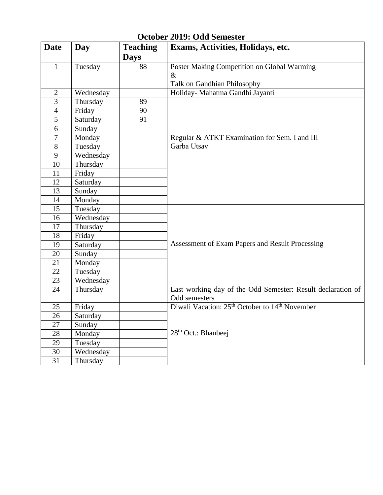| <b>Date</b>      | Day       | <b>Teaching</b><br><b>Days</b> | Exams, Activities, Holidays, etc.                                      |
|------------------|-----------|--------------------------------|------------------------------------------------------------------------|
| $\mathbf{1}$     | Tuesday   | 88                             | Poster Making Competition on Global Warming                            |
|                  |           |                                | $\&$                                                                   |
|                  |           |                                | Talk on Gandhian Philosophy                                            |
| $\sqrt{2}$       | Wednesday |                                | Holiday- Mahatma Gandhi Jayanti                                        |
| $\overline{3}$   | Thursday  | 89                             |                                                                        |
| $\overline{4}$   | Friday    | 90                             |                                                                        |
| 5                | Saturday  | 91                             |                                                                        |
| 6                | Sunday    |                                |                                                                        |
| $\boldsymbol{7}$ | Monday    |                                | Regular & ATKT Examination for Sem. I and III                          |
| 8                | Tuesday   |                                | Garba Utsav                                                            |
| 9                | Wednesday |                                |                                                                        |
| 10               | Thursday  |                                |                                                                        |
| 11               | Friday    |                                |                                                                        |
| 12               | Saturday  |                                |                                                                        |
| 13               | Sunday    |                                |                                                                        |
| 14               | Monday    |                                |                                                                        |
| 15               | Tuesday   |                                |                                                                        |
| 16               | Wednesday |                                |                                                                        |
| 17               | Thursday  |                                |                                                                        |
| 18               | Friday    |                                |                                                                        |
| 19               | Saturday  |                                | Assessment of Exam Papers and Result Processing                        |
| 20               | Sunday    |                                |                                                                        |
| 21               | Monday    |                                |                                                                        |
| 22               | Tuesday   |                                |                                                                        |
| 23               | Wednesday |                                |                                                                        |
| 24               | Thursday  |                                | Last working day of the Odd Semester: Result declaration of            |
|                  |           |                                | Odd semesters                                                          |
| 25               | Friday    |                                | Diwali Vacation: 25 <sup>th</sup> October to 14 <sup>th</sup> November |
| 26               | Saturday  |                                |                                                                        |
| 27               | Sunday    |                                |                                                                        |
| 28               | Monday    |                                | 28 <sup>th</sup> Oct.: Bhaubeej                                        |
| 29               | Tuesday   |                                |                                                                        |
| 30               | Wednesday |                                |                                                                        |
| 31               | Thursday  |                                |                                                                        |

#### **October 2019: Odd Semester**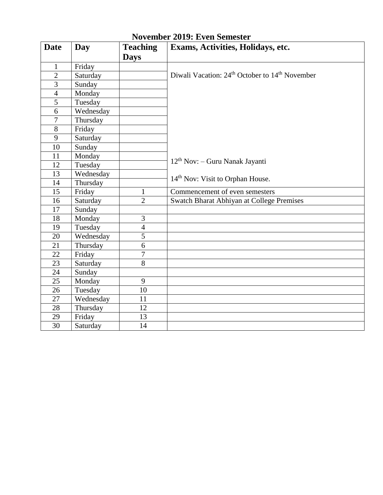| <b>Date</b>    | Day       | <b>Teaching</b> | Exams, Activities, Holidays, etc.                                      |
|----------------|-----------|-----------------|------------------------------------------------------------------------|
|                |           | <b>Days</b>     |                                                                        |
| $\mathbf{1}$   | Friday    |                 |                                                                        |
| $\overline{2}$ | Saturday  |                 | Diwali Vacation: 24 <sup>th</sup> October to 14 <sup>th</sup> November |
| 3              | Sunday    |                 |                                                                        |
| $\overline{4}$ | Monday    |                 |                                                                        |
| $\overline{5}$ | Tuesday   |                 |                                                                        |
| 6              | Wednesday |                 |                                                                        |
| 7              | Thursday  |                 |                                                                        |
| 8              | Friday    |                 |                                                                        |
| 9              | Saturday  |                 |                                                                        |
| 10             | Sunday    |                 |                                                                        |
| 11             | Monday    |                 |                                                                        |
| 12             | Tuesday   |                 | $12th$ Nov: - Guru Nanak Jayanti                                       |
| 13             | Wednesday |                 |                                                                        |
| 14             | Thursday  |                 | 14 <sup>th</sup> Nov: Visit to Orphan House.                           |
| 15             | Friday    | $\mathbf{1}$    | Commencement of even semesters                                         |
| 16             | Saturday  | $\overline{2}$  | <b>Swatch Bharat Abhiyan at College Premises</b>                       |
| 17             | Sunday    |                 |                                                                        |
| 18             | Monday    | 3               |                                                                        |
| 19             | Tuesday   | $\overline{4}$  |                                                                        |
| 20             | Wednesday | 5               |                                                                        |
| 21             | Thursday  | 6               |                                                                        |
| 22             | Friday    | 7               |                                                                        |
| 23             | Saturday  | 8               |                                                                        |
| 24             | Sunday    |                 |                                                                        |
| 25             | Monday    | 9               |                                                                        |
| 26             | Tuesday   | 10              |                                                                        |
| 27             | Wednesday | 11              |                                                                        |
| 28             | Thursday  | 12              |                                                                        |
| 29             | Friday    | 13              |                                                                        |
| 30             | Saturday  | 14              |                                                                        |

# **November 2019: Even Semester**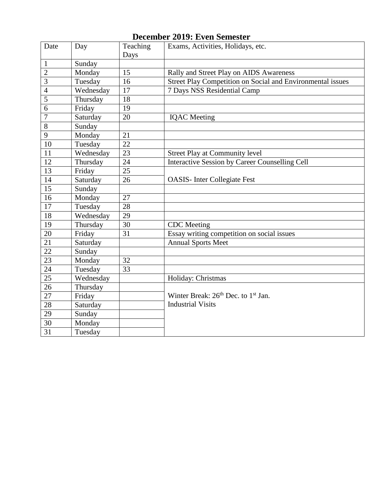### **December 2019: Even Semester**

| Date            | Day       | Teaching | Exams, Activities, Holidays, etc.                           |
|-----------------|-----------|----------|-------------------------------------------------------------|
|                 |           | Days     |                                                             |
| $\mathbf{1}$    | Sunday    |          |                                                             |
| $\overline{2}$  | Monday    | 15       | Rally and Street Play on AIDS Awareness                     |
| $\overline{3}$  | Tuesday   | 16       | Street Play Competition on Social and Environmental issues  |
| $\overline{4}$  | Wednesday | 17       | 7 Days NSS Residential Camp                                 |
| $\overline{5}$  | Thursday  | 18       |                                                             |
| 6               | Friday    | 19       |                                                             |
| $\overline{7}$  | Saturday  | 20       | <b>IQAC</b> Meeting                                         |
| 8               | Sunday    |          |                                                             |
| 9               | Monday    | 21       |                                                             |
| 10              | Tuesday   | 22       |                                                             |
| 11              | Wednesday | 23       | <b>Street Play at Community level</b>                       |
| 12              | Thursday  | 24       | <b>Interactive Session by Career Counselling Cell</b>       |
| 13              | Friday    | 25       |                                                             |
| 14              | Saturday  | 26       | <b>OASIS-</b> Inter Collegiate Fest                         |
| 15              | Sunday    |          |                                                             |
| 16              | Monday    | 27       |                                                             |
| 17              | Tuesday   | 28       |                                                             |
| 18              | Wednesday | 29       |                                                             |
| 19              | Thursday  | 30       | <b>CDC</b> Meeting                                          |
| 20              | Friday    | 31       | Essay writing competition on social issues                  |
| 21              | Saturday  |          | <b>Annual Sports Meet</b>                                   |
| $\overline{22}$ | Sunday    |          |                                                             |
| 23              | Monday    | 32       |                                                             |
| 24              | Tuesday   | 33       |                                                             |
| 25              | Wednesday |          | Holiday: Christmas                                          |
| 26              | Thursday  |          |                                                             |
| 27              | Friday    |          | Winter Break: 26 <sup>th</sup> Dec. to 1 <sup>st</sup> Jan. |
| $\overline{28}$ | Saturday  |          | <b>Industrial Visits</b>                                    |
| 29              | Sunday    |          |                                                             |
| $\overline{30}$ | Monday    |          |                                                             |
| 31              | Tuesday   |          |                                                             |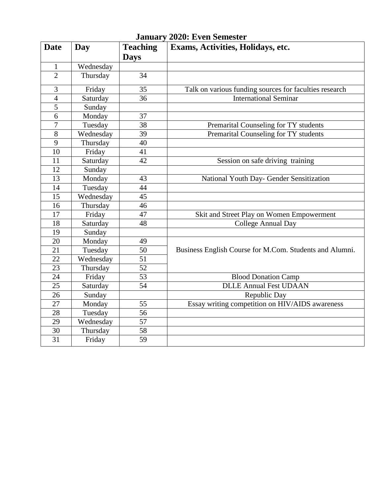| <b>Date</b>     | Day       | <b>Teaching</b><br><b>Days</b> | Exams, Activities, Holidays, etc.                       |
|-----------------|-----------|--------------------------------|---------------------------------------------------------|
| $\mathbf{1}$    | Wednesday |                                |                                                         |
| $\overline{2}$  | Thursday  | 34                             |                                                         |
|                 |           |                                |                                                         |
| 3               | Friday    | 35                             | Talk on various funding sources for faculties research  |
| $\overline{4}$  | Saturday  | 36                             | <b>International Seminar</b>                            |
| $\overline{5}$  | Sunday    |                                |                                                         |
| 6               | Monday    | 37                             |                                                         |
| 7               | Tuesday   | 38                             | Premarital Counseling for TY students                   |
| 8               | Wednesday | 39                             | Premarital Counseling for TY students                   |
| 9               | Thursday  | 40                             |                                                         |
| 10              | Friday    | 41                             |                                                         |
| 11              | Saturday  | 42                             | Session on safe driving training                        |
| 12              | Sunday    |                                |                                                         |
| 13              | Monday    | 43                             | National Youth Day- Gender Sensitization                |
| 14              | Tuesday   | $\overline{44}$                |                                                         |
| 15              | Wednesday | 45                             |                                                         |
| 16              | Thursday  | 46                             |                                                         |
| 17              | Friday    | 47                             | Skit and Street Play on Women Empowerment               |
| 18              | Saturday  | 48                             | <b>College Annual Day</b>                               |
| 19              | Sunday    |                                |                                                         |
| 20              | Monday    | 49                             |                                                         |
| 21              | Tuesday   | 50                             | Business English Course for M.Com. Students and Alumni. |
| 22              | Wednesday | 51                             |                                                         |
| 23              | Thursday  | $\overline{52}$                |                                                         |
| 24              | Friday    | 53                             | <b>Blood Donation Camp</b>                              |
| 25              | Saturday  | 54                             | <b>DLLE Annual Fest UDAAN</b>                           |
| 26              | Sunday    |                                | Republic Day                                            |
| 27              | Monday    | 55                             | Essay writing competition on HIV/AIDS awareness         |
| 28              | Tuesday   | 56                             |                                                         |
| 29              | Wednesday | $\overline{57}$                |                                                         |
| 30              | Thursday  | 58                             |                                                         |
| $\overline{31}$ | Friday    | 59                             |                                                         |

**January 2020: Even Semester**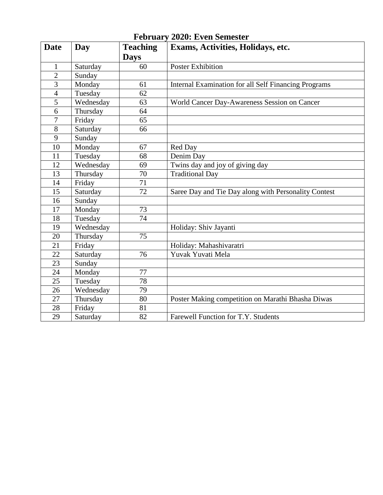| <b>Date</b>     | Day       | <b>Teaching</b> | Exams, Activities, Holidays, etc.                           |
|-----------------|-----------|-----------------|-------------------------------------------------------------|
|                 |           | <b>Days</b>     |                                                             |
| 1               | Saturday  | 60              | <b>Poster Exhibition</b>                                    |
| $\overline{2}$  | Sunday    |                 |                                                             |
| 3               | Monday    | 61              | <b>Internal Examination for all Self Financing Programs</b> |
| $\overline{4}$  | Tuesday   | 62              |                                                             |
| 5               | Wednesday | 63              | World Cancer Day-Awareness Session on Cancer                |
| $\overline{6}$  | Thursday  | 64              |                                                             |
| 7               | Friday    | 65              |                                                             |
| 8               | Saturday  | 66              |                                                             |
| 9               | Sunday    |                 |                                                             |
| 10              | Monday    | 67              | Red Day                                                     |
| 11              | Tuesday   | 68              | Denim Day                                                   |
| 12              | Wednesday | 69              | Twins day and joy of giving day                             |
| 13              | Thursday  | 70              | <b>Traditional Day</b>                                      |
| 14              | Friday    | 71              |                                                             |
| 15              | Saturday  | 72              | Saree Day and Tie Day along with Personality Contest        |
| 16              | Sunday    |                 |                                                             |
| 17              | Monday    | 73              |                                                             |
| 18              | Tuesday   | 74              |                                                             |
| 19              | Wednesday |                 | Holiday: Shiv Jayanti                                       |
| 20              | Thursday  | 75              |                                                             |
| 21              | Friday    |                 | Holiday: Mahashivaratri                                     |
| 22              | Saturday  | 76              | Yuvak Yuvati Mela                                           |
| 23              | Sunday    |                 |                                                             |
| 24              | Monday    | 77              |                                                             |
| $\overline{25}$ | Tuesday   | 78              |                                                             |
| 26              | Wednesday | 79              |                                                             |
| 27              | Thursday  | 80              | Poster Making competition on Marathi Bhasha Diwas           |
| 28              | Friday    | 81              |                                                             |
| 29              | Saturday  | $\overline{82}$ | Farewell Function for T.Y. Students                         |

#### **February 2020: Even Semester**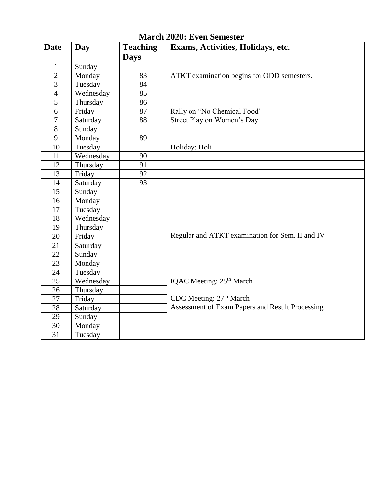| <b>Date</b>      | Day       | <b>Teaching</b><br><b>Days</b> | Exams, Activities, Holidays, etc.               |
|------------------|-----------|--------------------------------|-------------------------------------------------|
| $\mathbf{1}$     | Sunday    |                                |                                                 |
| $\overline{2}$   | Monday    | 83                             | ATKT examination begins for ODD semesters.      |
| 3                | Tuesday   | 84                             |                                                 |
| $\overline{4}$   | Wednesday | 85                             |                                                 |
| 5                | Thursday  | 86                             |                                                 |
| 6                | Friday    | 87                             | Rally on "No Chemical Food"                     |
| $\boldsymbol{7}$ | Saturday  | 88                             | Street Play on Women's Day                      |
| $8\,$            | Sunday    |                                |                                                 |
| 9                | Monday    | 89                             |                                                 |
| 10               | Tuesday   |                                | Holiday: Holi                                   |
| 11               | Wednesday | 90                             |                                                 |
| 12               | Thursday  | 91                             |                                                 |
| 13               | Friday    | 92                             |                                                 |
| 14               | Saturday  | 93                             |                                                 |
| 15               | Sunday    |                                |                                                 |
| 16               | Monday    |                                |                                                 |
| 17               | Tuesday   |                                |                                                 |
| 18               | Wednesday |                                |                                                 |
| 19               | Thursday  |                                |                                                 |
| 20               | Friday    |                                | Regular and ATKT examination for Sem. II and IV |
| 21               | Saturday  |                                |                                                 |
| 22               | Sunday    |                                |                                                 |
| 23               | Monday    |                                |                                                 |
| 24               | Tuesday   |                                |                                                 |
| 25               | Wednesday |                                | IQAC Meeting: 25 <sup>th</sup> March            |
| 26               | Thursday  |                                |                                                 |
| 27               | Friday    |                                | CDC Meeting: 27 <sup>th</sup> March             |
| 28               | Saturday  |                                | Assessment of Exam Papers and Result Processing |
| 29               | Sunday    |                                |                                                 |
| 30               | Monday    |                                |                                                 |
| 31               | Tuesday   |                                |                                                 |

### **March 2020: Even Semester**